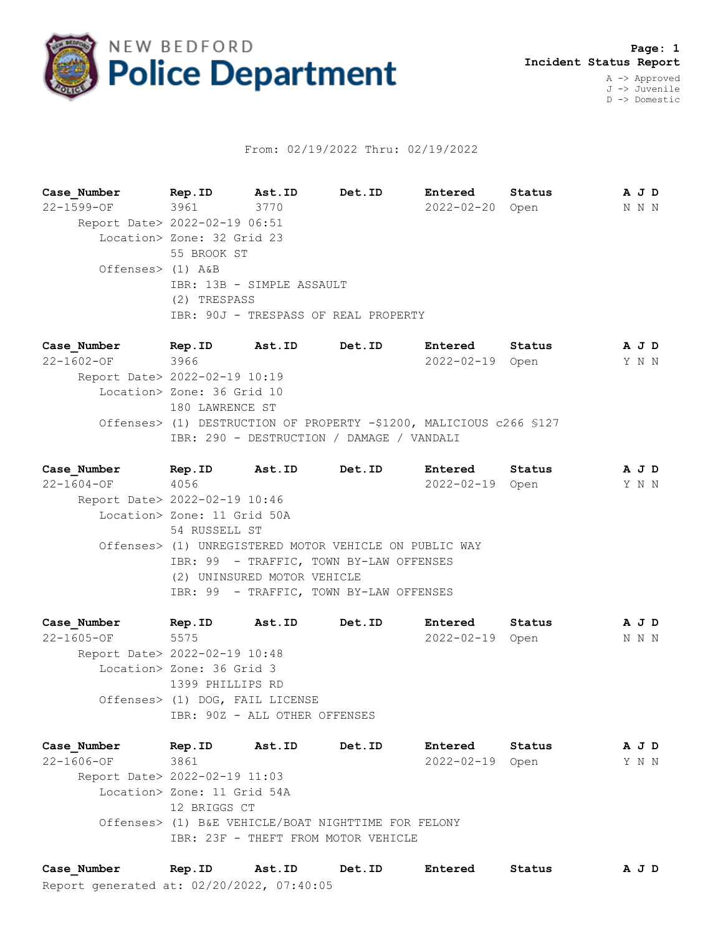

## From: 02/19/2022 Thru: 02/19/2022

**Case\_Number Rep.ID Ast.ID Det.ID Entered Status A J D** 22-1599-OF 3961 3770 2022-02-20 Open N N N Report Date> 2022-02-19 06:51 Location> Zone: 32 Grid 23 55 BROOK ST Offenses> (1) A&B IBR: 13B - SIMPLE ASSAULT (2) TRESPASS IBR: 90J - TRESPASS OF REAL PROPERTY

**Case\_Number Rep.ID Ast.ID Det.ID Entered Status A J D** 22-1602-OF 3966 2022-02-19 Open Y N N Report Date> 2022-02-19 10:19 Location> Zone: 36 Grid 10 180 LAWRENCE ST Offenses> (1) DESTRUCTION OF PROPERTY -\$1200, MALICIOUS c266 §127 IBR: 290 - DESTRUCTION / DAMAGE / VANDALI

**Case\_Number Rep.ID Ast.ID Det.ID Entered Status A J D** 22-1604-OF 4056 2022-02-19 Open Y N N Report Date> 2022-02-19 10:46 Location> Zone: 11 Grid 50A 54 RUSSELL ST Offenses> (1) UNREGISTERED MOTOR VEHICLE ON PUBLIC WAY IBR: 99 - TRAFFIC, TOWN BY-LAW OFFENSES (2) UNINSURED MOTOR VEHICLE IBR: 99 - TRAFFIC, TOWN BY-LAW OFFENSES

**Case\_Number Rep.ID Ast.ID Det.ID Entered Status A J D** 22-1605-OF 5575 2022-02-19 Open N N N Report Date> 2022-02-19 10:48 Location> Zone: 36 Grid 3 1399 PHILLIPS RD Offenses> (1) DOG, FAIL LICENSE IBR: 90Z - ALL OTHER OFFENSES

**Case\_Number Rep.ID Ast.ID Det.ID Entered Status A J D** 22-1606-OF 3861 2022-02-19 Open Y N N Report Date> 2022-02-19 11:03 Location> Zone: 11 Grid 54A 12 BRIGGS CT Offenses> (1) B&E VEHICLE/BOAT NIGHTTIME FOR FELONY IBR: 23F - THEFT FROM MOTOR VEHICLE

Report generated at: 02/20/2022, 07:40:05 **Case\_Number Rep.ID Ast.ID Det.ID Entered Status A J D**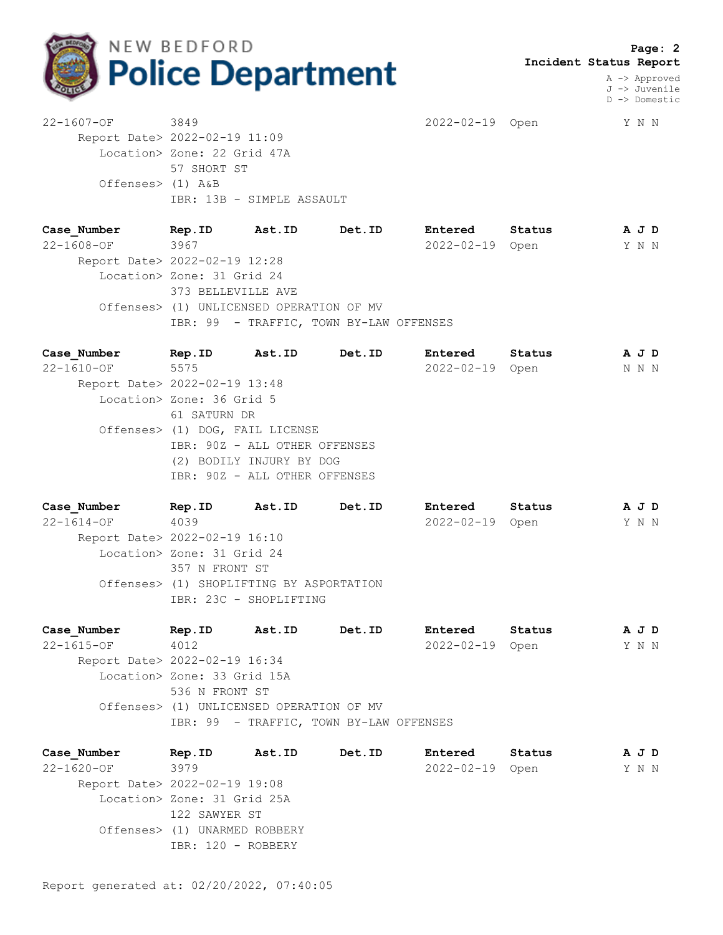

 **Page: 2 Incident Status Report**

> A -> Approved J -> Juvenile D -> Domestic

22-1607-OF 3849 2022-02-19 Open Y N N Report Date> 2022-02-19 11:09 Location> Zone: 22 Grid 47A 57 SHORT ST Offenses> (1) A&B IBR: 13B - SIMPLE ASSAULT

**Case\_Number Rep.ID Ast.ID Det.ID Entered Status A J D** 22-1608-OF 3967 2022-02-19 Open Y N N Report Date> 2022-02-19 12:28 Location> Zone: 31 Grid 24 373 BELLEVILLE AVE Offenses> (1) UNLICENSED OPERATION OF MV IBR: 99 - TRAFFIC, TOWN BY-LAW OFFENSES

| Case Number                   | Rep.ID                          | Ast.ID                   | Det.ID | Entered         | Status | A J D |  |
|-------------------------------|---------------------------------|--------------------------|--------|-----------------|--------|-------|--|
| 22-1610-OF                    | 5575                            |                          |        | 2022-02-19 Open |        | N N N |  |
| Report Date> 2022-02-19 13:48 |                                 |                          |        |                 |        |       |  |
|                               | Location> Zone: 36 Grid 5       |                          |        |                 |        |       |  |
|                               | 61 SATURN DR                    |                          |        |                 |        |       |  |
|                               | Offenses> (1) DOG, FAIL LICENSE |                          |        |                 |        |       |  |
|                               | IBR: 90Z - ALL OTHER OFFENSES   |                          |        |                 |        |       |  |
|                               |                                 | (2) BODILY INJURY BY DOG |        |                 |        |       |  |
|                               | IBR: 90Z - ALL OTHER OFFENSES   |                          |        |                 |        |       |  |
|                               |                                 |                          |        |                 |        |       |  |
|                               |                                 |                          |        |                 |        |       |  |

| Case Number                   | Rep.ID                     | Ast.ID                                   | Det.ID | Entered          | Status | A J D |  |
|-------------------------------|----------------------------|------------------------------------------|--------|------------------|--------|-------|--|
| $22 - 1614 - OF$              | 4039                       |                                          |        | $2022 - 02 - 19$ | Open   | Y N N |  |
| Report Date> 2022-02-19 16:10 |                            |                                          |        |                  |        |       |  |
|                               | Location> Zone: 31 Grid 24 |                                          |        |                  |        |       |  |
|                               | 357 N FRONT ST             |                                          |        |                  |        |       |  |
|                               |                            | Offenses> (1) SHOPLIFTING BY ASPORTATION |        |                  |        |       |  |
|                               |                            | IBR: 23C - SHOPLIFTING                   |        |                  |        |       |  |
|                               |                            |                                          |        |                  |        |       |  |

| Case Number                   | Rep.ID                      | Ast.ID                                   | Det.ID                                  | Entered         | Status | A J D |  |
|-------------------------------|-----------------------------|------------------------------------------|-----------------------------------------|-----------------|--------|-------|--|
| $22 - 1615 - OF$              | 4012                        |                                          |                                         | 2022-02-19 Open |        | Y N N |  |
| Report Date> 2022-02-19 16:34 |                             |                                          |                                         |                 |        |       |  |
|                               | Location> Zone: 33 Grid 15A |                                          |                                         |                 |        |       |  |
|                               | 536 N FRONT ST              |                                          |                                         |                 |        |       |  |
|                               |                             | Offenses> (1) UNLICENSED OPERATION OF MV |                                         |                 |        |       |  |
|                               |                             |                                          | IBR: 99 - TRAFFIC, TOWN BY-LAW OFFENSES |                 |        |       |  |

**Case\_Number Rep.ID Ast.ID Det.ID Entered Status A J D** 22-1620-OF 3979 2022-02-19 Open Y N N Report Date> 2022-02-19 19:08 Location> Zone: 31 Grid 25A 122 SAWYER ST Offenses> (1) UNARMED ROBBERY IBR: 120 - ROBBERY